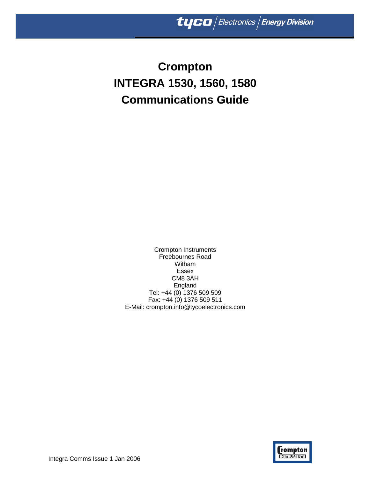# **Crompton INTEGRA 1530, 1560, 1580 Communications Guide**

Crompton Instruments Freebournes Road Witham Essex CM8 3AH England Tel: +44 (0) 1376 509 509 Fax: +44 (0) 1376 509 511 E-Mail: crompton.info@tycoelectronics.com



Integra Comms Issue 1 Jan 2006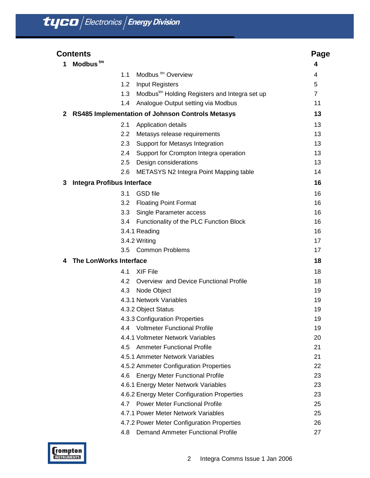|              | <b>Contents</b>                   |                                                           | Page |
|--------------|-----------------------------------|-----------------------------------------------------------|------|
| 1            | Modbus <sup>tm</sup>              |                                                           | 4    |
|              | 1.1                               | Modbus <sup>tm</sup> Overview                             | 4    |
|              | 1.2                               | <b>Input Registers</b>                                    | 5    |
|              | 1.3                               | Modbus <sup>tm</sup> Holding Registers and Integra set up | 7    |
|              | 1.4                               | Analogue Output setting via Modbus                        | 11   |
| $\mathbf{2}$ |                                   | <b>RS485 Implementation of Johnson Controls Metasys</b>   | 13   |
|              | 2.1                               | Application details                                       | 13   |
|              | 2.2                               | Metasys release requirements                              | 13   |
|              | 2.3                               | Support for Metasys Integration                           | 13   |
|              | 2.4                               | Support for Crompton Integra operation                    | 13   |
|              | 2.5                               | Design considerations                                     | 13   |
|              | 2.6                               | METASYS N2 Integra Point Mapping table                    | 14   |
| 3            | <b>Integra Profibus Interface</b> |                                                           | 16   |
|              | 3.1                               | <b>GSD</b> file                                           | 16   |
|              | 3.2                               | <b>Floating Point Format</b>                              | 16   |
|              | 3.3                               | Single Parameter access                                   | 16   |
|              | 3.4                               | Functionality of the PLC Function Block                   | 16   |
|              |                                   | 3.4.1 Reading                                             | 16   |
|              |                                   | 3.4.2 Writing                                             | 17   |
|              | 3.5                               | <b>Common Problems</b>                                    | 17   |
| 4            | The LonWorks Interface            |                                                           | 18   |
|              | 4.1                               | <b>XIF File</b>                                           | 18   |
|              | 4.2                               | Overview and Device Functional Profile                    | 18   |
|              | 4.3                               | Node Object                                               | 19   |
|              |                                   | 4.3.1 Network Variables                                   | 19   |
|              |                                   | 4.3.2 Object Status                                       | 19   |
|              |                                   | 4.3.3 Configuration Properties                            | 19   |
|              | 4.4                               | <b>Voltmeter Functional Profile</b>                       | 19   |
|              |                                   | 4.4.1 Voltmeter Network Variables                         | 20   |
|              | 4.5                               | <b>Ammeter Functional Profile</b>                         | 21   |
|              |                                   | 4.5.1 Ammeter Network Variables                           | 21   |
|              |                                   | 4.5.2 Ammeter Configuration Properties                    | 22   |
|              | 4.6                               | <b>Energy Meter Functional Profile</b>                    | 23   |
|              |                                   | 4.6.1 Energy Meter Network Variables                      | 23   |
|              |                                   | 4.6.2 Energy Meter Configuration Properties               | 23   |
|              |                                   | 4.7 Power Meter Functional Profile                        | 25   |
|              |                                   | 4.7.1 Power Meter Network Variables                       | 25   |
|              |                                   | 4.7.2 Power Meter Configuration Properties                | 26   |
|              | 4.8                               | <b>Demand Ammeter Functional Profile</b>                  | 27   |

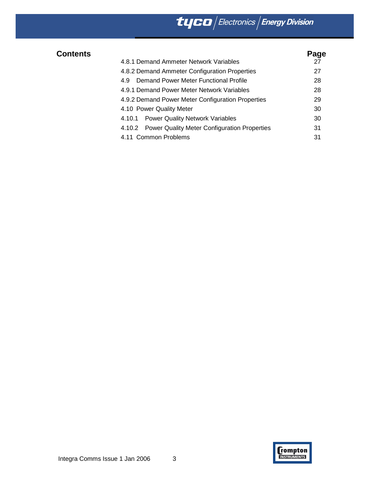# $\frac{1}{\sqrt{2\pi}}$  Electronics Energy Division

| <b>Contents</b> |                                                     | Page |
|-----------------|-----------------------------------------------------|------|
|                 | 4.8.1 Demand Ammeter Network Variables              | 27   |
|                 | 4.8.2 Demand Ammeter Configuration Properties       | 27   |
|                 | Demand Power Meter Functional Profile<br>4.9        | 28   |
|                 | 4.9.1 Demand Power Meter Network Variables          | 28   |
|                 | 4.9.2 Demand Power Meter Configuration Properties   | 29   |
|                 | 4.10 Power Quality Meter                            | 30   |
|                 | 4.10.1 Power Quality Network Variables              | 30   |
|                 | 4.10.2 Power Quality Meter Configuration Properties | 31   |
|                 | 4.11 Common Problems                                | 31   |

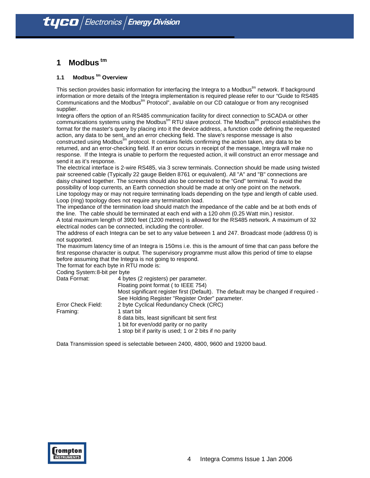## **1 Modbus tm**

## **1.1 Modbus <sup>tm</sup> Overview**

This section provides basic information for interfacing the Integra to a Modbus<sup>tm</sup> network. If background information or more details of the Integra implementation is required please refer to our "Guide to RS485 Communications and the Modbus $<sup>tm</sup>$  Protocol", available on our CD catalogue or from any recognised</sup> supplier.

Integra offers the option of an RS485 communication facility for direct connection to SCADA or other communications systems using the Modbus<sup>tm</sup> RTU slave protocol. The Modbus<sup>tm</sup> protocol establishes the format for the master's query by placing into it the device address, a function code defining the requested action, any data to be sent, and an error checking field. The slave's response message is also constructed using Modbus<sup>tm</sup> protocol. It contains fields confirming the action taken, any data to be returned, and an error-checking field. If an error occurs in receipt of the message, Integra will make no response. If the Integra is unable to perform the requested action, it will construct an error message and send it as it's response.

The electrical interface is 2-wire RS485, via 3 screw terminals. Connection should be made using twisted pair screened cable (Typically 22 gauge Belden 8761 or equivalent). All "A" and "B" connections are daisy chained together. The screens should also be connected to the "Gnd" terminal. To avoid the possibility of loop currents, an Earth connection should be made at only one point on the network. Line topology may or may not require terminating loads depending on the type and length of cable used. Loop (ring) topology does not require any termination load.

The impedance of the termination load should match the impedance of the cable and be at both ends of the line. The cable should be terminated at each end with a 120 ohm (0.25 Watt min.) resistor.

A total maximum length of 3900 feet (1200 metres) is allowed for the RS485 network. A maximum of 32 electrical nodes can be connected, including the controller.

The address of each Integra can be set to any value between 1 and 247. Broadcast mode (address 0) is not supported.

The maximum latency time of an Integra is 150ms i.e. this is the amount of time that can pass before the first response character is output. The supervisory programme must allow this period of time to elapse before assuming that the Integra is not going to respond.

The format for each byte in RTU mode is:

| Coding System: 8-bit per byte |                  |
|-------------------------------|------------------|
| Data Format:                  | 4 bytes (2 regis |

| Data Format:       | 4 bytes (2 registers) per parameter.                                                |
|--------------------|-------------------------------------------------------------------------------------|
|                    | Floating point format (to IEEE 754)                                                 |
|                    | Most significant register first (Default). The default may be changed if required - |
|                    | See Holding Register "Register Order" parameter.                                    |
| Error Check Field: | 2 byte Cyclical Redundancy Check (CRC)                                              |
| Framing:           | 1 start bit                                                                         |
|                    | 8 data bits, least significant bit sent first                                       |
|                    | 1 bit for even/odd parity or no parity                                              |
|                    | 1 stop bit if parity is used; 1 or 2 bits if no parity                              |

Data Transmission speed is selectable between 2400, 4800, 9600 and 19200 baud.

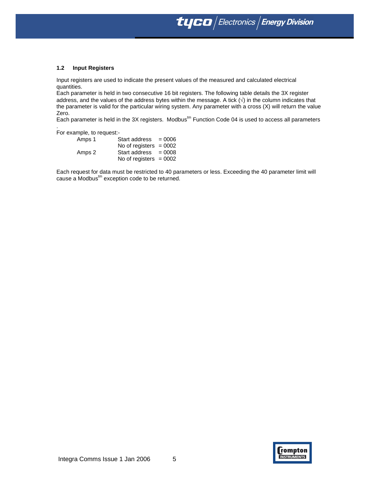$\bm{t}$ yco $\left|$  Electronics  $\right|$  Energy Division

#### **1.2 Input Registers**

Input registers are used to indicate the present values of the measured and calculated electrical quantities.

Each parameter is held in two consecutive 16 bit registers. The following table details the 3X register address, and the values of the address bytes within the message. A tick  $(\sqrt{)}$  in the column indicates that the parameter is valid for the particular wiring system. Any parameter with a cross (X) will return the value Zero.

Each parameter is held in the 3X registers. Modbus<sup>tm</sup> Function Code 04 is used to access all parameters

For example, to request:-

.

| Amps 1 | Start address $= 0006$   |  |
|--------|--------------------------|--|
|        | No of registers $= 0002$ |  |
| Amps 2 | Start address $= 0008$   |  |
|        | No of registers $= 0002$ |  |

Each request for data must be restricted to 40 parameters or less. Exceeding the 40 parameter limit will cause a Modbus<sup>tm</sup> exception code to be returned.

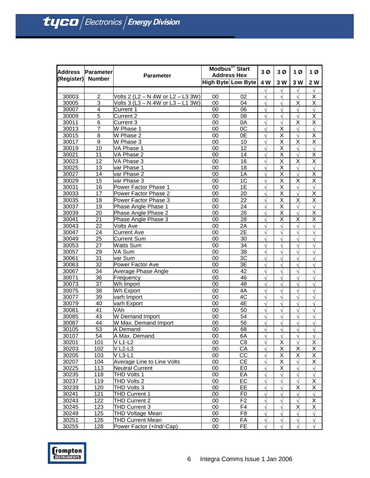|                   | Address Parameter | <b>Parameter</b>                   | Modbus <sup>tm</sup> Start<br><b>Address Hex</b> |                    | 3Ø           | 3Ø                      | 1Ø                      | 1 <sub>Ø</sub>          |
|-------------------|-------------------|------------------------------------|--------------------------------------------------|--------------------|--------------|-------------------------|-------------------------|-------------------------|
| (Register) Number |                   |                                    |                                                  | High Byte Low Byte | 4 W          | 3 W                     | 3 W                     | 2 W                     |
|                   |                   |                                    |                                                  |                    | $\sqrt{ }$   | $\sqrt{}$               | $\sqrt{ }$              | $\sqrt{ }$              |
| 30003             | 2                 | Volts 2 (L2 – N 4W or L2 – L3 3W)  | 00                                               | 02                 | $\sqrt{}$    | $\sqrt{}$               | $\sqrt{ }$              | Χ                       |
| 30005             | 3                 | Volts 3 (L3 - N 4W or L3 - L1 3W)  | 00                                               | 04                 | $\sqrt{ }$   | $\sqrt{}$               | Χ                       | Χ                       |
| 30007             | 4                 | Current 1                          | 00                                               | 06                 |              |                         |                         |                         |
| 30009             | $\overline{5}$    | <b>Current 2</b>                   | 00                                               | 08                 | Ń            | $\sqrt{}$               | $\sqrt{ }$              | $\overline{\mathsf{x}}$ |
| 30011             | $\overline{6}$    | Current 3                          | 00                                               | 0A                 | $\sqrt{2}$   | $\sqrt{}$               | $\overline{\mathsf{x}}$ | $\overline{\mathsf{x}}$ |
| 30013             | 7                 | W Phase 1                          | 00                                               | 0C                 | $\sqrt{ }$   | X                       | $\sqrt{ }$              | $\sqrt{ }$              |
| 30015             | 8                 | W Phase 2                          | 00                                               | 0E                 | N            | Χ                       | $\sqrt{ }$              | Χ                       |
| 30017             | 9                 | W Phase 3                          | 00                                               | 10                 | $\sqrt{ }$   | X                       | X                       | X                       |
| 30019             | 10                | VA Phase 1                         | 00                                               | $\overline{12}$    | $\sqrt{ }$   | $\overline{\mathsf{x}}$ | $\sqrt{}$               | $\sqrt{ }$              |
| 30021             | 11                | VA Phase 2                         | 00                                               | 14                 | $\sqrt{ }$   | $\overline{\mathsf{x}}$ | $\sqrt{ }$              | $\overline{\mathsf{x}}$ |
| 30023             | 12                | VA Phase 3                         | 00                                               | 16                 | $\sqrt{ }$   | X                       | X                       | $\overline{\mathsf{x}}$ |
| 30025             | 13                | var Phase 1                        | 00                                               | 18                 | $\sqrt{}$    | $\overline{\mathsf{x}}$ | $\sqrt{ }$              | $\sqrt{ }$              |
| 30027             | 14                | var Phase 2                        | 00                                               | 1A                 |              | $\overline{\mathsf{x}}$ | $\sqrt{ }$              | $\overline{\mathsf{x}}$ |
| 30029             | 15                | var Phase 3                        | 00                                               | 1 <sup>C</sup>     | $\sqrt{}$    | X                       | X                       | X                       |
| 30031             | $\overline{16}$   | Power Factor Phase 1               | $\overline{00}$                                  | 1E                 | $\sqrt{ }$   | $\overline{\mathsf{x}}$ | $\sqrt{ }$              | $\sqrt{ }$              |
| 30033             | 17                | Power Factor Phase 2               | 00                                               | 20                 | $\sqrt{}$    | Χ                       | $\sqrt{ }$              | Χ                       |
| 30035             | 18                | Power Factor Phase 3               | 00                                               | 22                 |              | X                       | X                       | $\overline{\mathsf{x}}$ |
| 30037             | 19                | Phase Angle Phase 1                | 00                                               | 24                 | Ń            | $\overline{\mathsf{x}}$ | $\sqrt{ }$              | $\sqrt{ }$              |
| 30039             | 20                | Phase Angle Phase 2                | 00                                               | $\overline{26}$    | $\sqrt{2}$   | $\overline{\mathsf{x}}$ | $\sqrt{ }$              | $\overline{\mathsf{x}}$ |
| 30041             | 21                | Phase Angle Phase 3                | 00                                               | 28                 | $\sqrt{ }$   | X                       | $\overline{\mathsf{x}}$ | $\overline{\mathsf{x}}$ |
| 30043             | 22                | <b>Volts Ave</b>                   | 00                                               | 2A                 | N            | $\sqrt{}$               | $\sqrt{ }$              | $\sqrt{}$               |
| 30047             | $\overline{24}$   | <b>Current Ave</b>                 | 00                                               | 2E                 | $\mathbf{v}$ |                         |                         | $\sqrt{2}$              |
| 30049             | $\overline{25}$   | <b>Current Sum</b>                 | 00                                               | 30                 | $\mathbf{v}$ | $\sqrt{}$               |                         | $\sqrt{}$               |
| 30053             | 27                | <b>Watts Sum</b>                   | 00                                               | 34                 | $\sqrt{ }$   | $\sqrt{ }$              |                         |                         |
| 30057             | 29                | VA Sum                             | 00                                               | 38                 | $\sqrt{ }$   | $\sqrt{ }$              | $\sqrt{ }$              | $\sqrt{ }$              |
| 30061             | 31                | var Sum                            | 00                                               | 3C                 | $\mathbf{v}$ | $\sqrt{}$               | $\sqrt{ }$              | $\sqrt{2}$              |
| 30063             | 32                | Power Factor Ave                   | 00                                               | 3E                 |              | $\sqrt{2}$              |                         | $\sqrt{2}$              |
| 30067             | 34                | Average Phase Angle                | 00                                               | 42                 | $\mathbf{v}$ | $\sqrt{}$               | $\sqrt{ }$              | $\sqrt{}$               |
| 30071             | $\overline{36}$   | Frequency                          | $\overline{00}$                                  | 46                 | $\sqrt{2}$   | $\sqrt{ }$              | $\sqrt{ }$              | $\sqrt{ }$              |
| 30073             | 37                | Wh Import                          | 00                                               | 48                 | $\sqrt{}$    | $\sqrt{}$               | $\sqrt{ }$              | $\sqrt{}$               |
| 30075             | 38                | Wh Export                          | 00                                               | 4A                 |              |                         |                         |                         |
| 30077             | 39                | varh Import                        | 00                                               | 4C                 | Ń            | $\sqrt{2}$              | $\sqrt{ }$              | $\sqrt{ }$              |
| 30079             | 40                | varh Export                        | 00                                               | 4E                 | $\sqrt{2}$   | $\sqrt{}$               | $\sqrt{ }$              | $\sqrt{ }$              |
| 30081             | 41                | VAh                                | 00                                               | 50                 | $\sqrt{ }$   | $\sqrt{}$               | $\sqrt{ }$              | $\sqrt{ }$              |
| 30085             | 43                | W Demand Import                    | 00                                               | 54                 | N            | $\sqrt{}$               | $\sqrt{ }$              | $\sqrt{}$               |
| 30087             | $\overline{44}$   | W Max. Demand Import               | 00                                               | 56                 |              |                         |                         | $\sqrt{2}$              |
| 30105             | 53                | A Demand                           | 00                                               | 68                 |              | $\sqrt{}$               |                         | $\sqrt{}$               |
| 30107             | 54                | A Max. Demand                      | $\overline{00}$                                  | 6A                 |              |                         |                         |                         |
| 30201             | 101               | <b>VL1-L2</b>                      | 00                                               | C <sub>8</sub>     | $\sqrt{}$    | X                       | $\sqrt{ }$              | Χ                       |
| 30203             | 102               | $V$ L <sub>2</sub> -L <sub>3</sub> | 00                                               | СA                 | N            | Χ                       | Χ                       | Χ                       |
| 30205             | 103               | $V$ L <sub>3</sub> -L <sub>1</sub> | 00                                               | CС                 |              | X                       | Χ                       | Χ                       |
| 30207             | 104               | Average Line to Line Volts         | 00                                               | <b>CE</b>          | N            | Χ                       |                         | Χ                       |
| 30225             | 113               | Neutral Current                    | 00                                               | E <sub>0</sub>     | $\sqrt{ }$   | $\overline{\mathsf{x}}$ |                         | $\sqrt{}$               |
| 30235             | 118               | THD Volts 1                        | 00                                               | EA                 | $\sqrt{}$    | $\sqrt{}$               | $\sqrt{ }$              | $\sqrt{}$               |
| 30237             | 119               | THD Volts 2                        | 00                                               | EC                 |              |                         |                         | Χ                       |
| 30239             | 120               | THD Volts 3                        | 00                                               | EE                 |              |                         | X                       | Χ                       |
| 30241             | 121               | THD Current 1                      | 00                                               | F <sub>0</sub>     |              | $\sqrt{}$               | $\sqrt{ }$              | $\sqrt{ }$              |
| 30243             | 122               | THD Current 2                      | 00                                               | F <sub>2</sub>     | $\sqrt{}$    | $\sqrt{}$               | $\sqrt{ }$              | Χ                       |
| 30245             | 123               | <b>THD Current 3</b>               | 00                                               | F4                 | N            | $\sqrt{}$               | Χ                       | X                       |
| 30249             | 125               | <b>THD Voltage Mean</b>            | 00                                               | F <sub>8</sub>     |              |                         |                         | $\sqrt{}$               |
| 30251             | 126               | THD Current Mean                   | 00                                               | FA                 |              | $\sqrt{}$               |                         | $\sqrt{ }$              |
| 30255             | 128               | Power Factor (+Ind/-Cap)           | 00                                               | FE                 |              |                         |                         |                         |

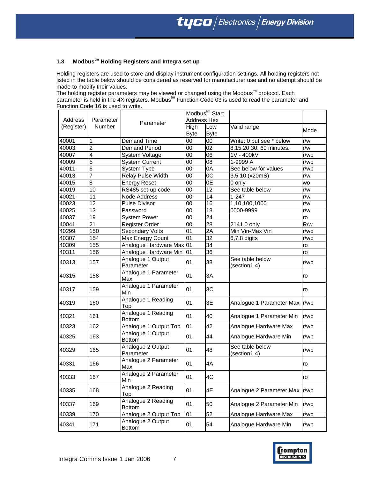## **1.3 Modbustm Holding Registers and Integra set up**

Holding registers are used to store and display instrument configuration settings. All holding registers not listed in the table below should be considered as reserved for manufacturer use and no attempt should be made to modify their values.

The holding register parameters may be viewed or changed using the Modbus<sup>tm</sup> protocol. Each parameter is held in the 4X registers. Modbus<sup>tm</sup> Function Code 03 is used to read the parameter and Function Code 16 is used to write.

|            |               |                                     | Modbus <sup>tm</sup> Start |                    |                                 |           |  |
|------------|---------------|-------------------------------------|----------------------------|--------------------|---------------------------------|-----------|--|
| Address    | Parameter     | Parameter                           | <b>Address Hex</b>         |                    |                                 |           |  |
| (Register) | <b>Number</b> |                                     | High<br><b>Byte</b>        | Low<br><b>Byte</b> | Valid range                     | Mode      |  |
| 40001      | 1             | Demand Time                         | 00                         | 00                 | Write: 0 but see * below        | r/w       |  |
| 40003      | 2             | <b>Demand Period</b>                | 00                         | 02                 | 8,15,20,30, 60 minutes.         | r/w       |  |
| 40007      | 4             | System Voltage                      | 00                         | 06                 | 1V - 400kV                      | r/wp      |  |
| 40009      | 5             | <b>System Current</b>               | 00                         | 08                 | 1-9999 A                        | r/wp      |  |
| 40011      | 6             | System Type                         | 00                         | 0A                 | See below for values            | r/wp      |  |
| 40013      | 7             | Relay Pulse Width                   | 00                         | 0C                 | 3,5,10 (x20mS)                  | r/w       |  |
| 40015      | 8             | <b>Energy Reset</b>                 | 00                         | 0E                 | 0 only                          | <b>WO</b> |  |
| 40019      | 10            | RS485 set-up code                   | 00                         | 12                 | See table below                 | r/w       |  |
| 40021      | 11            | Node Address                        | 00                         | 14                 | $1 - 247$                       | r/w       |  |
| 40023      | 12            | <b>Pulse Divisor</b>                | 00                         | 16                 | 1,10,100,1000                   | r/w       |  |
| 40025      | 13            | Password                            | 00                         | 18                 | 0000-9999                       | r/w       |  |
| 40037      | 19            | <b>System Power</b>                 | 00                         | 24                 |                                 | ro        |  |
| 40041      | 21            | Register Order                      | 00                         | 28                 | 2141.0 only                     | R/w       |  |
| 40299      | 150           | <b>Secondary Volts</b>              | 01                         | 2A                 | Min Vin-Max Vin                 | r/wp      |  |
| 40307      | 154           | Max Energy Count                    | 01                         | 32                 | 6,7,8 digits                    | r/wp      |  |
| 40309      | 155           | Analogue Hardware Max 01            |                            | 34                 |                                 | ro        |  |
| 40311      | 156           | Analogue Hardware Min               | 01                         | 36                 |                                 | ro        |  |
| 40313      | 157           | Analogue 1 Output<br>Parameter      | 01                         | 38                 | See table below<br>(section1.4) | r/wp      |  |
| 40315      | 158           | Analogue 1 Parameter<br>Max         | 01                         | 3A                 |                                 | ro        |  |
| 40317      | 159           | Analogue 1 Parameter<br>Min         | 01                         | 3C                 |                                 | ro        |  |
| 40319      | 160           | Analogue 1 Reading<br>Top           | 01                         | 3E                 | Analogue 1 Parameter Max  r/wp  |           |  |
| 40321      | 161           | Analogue 1 Reading<br><b>Bottom</b> | 01                         | 40                 | Analogue 1 Parameter Min        | r/wp      |  |
| 40323      | 162           | Analogue 1 Output Top               | 01                         | 42                 | Analogue Hardware Max           | r/wp      |  |
| 40325      | 163           | Analogue 1 Output<br><b>Bottom</b>  | 01                         | 44                 | Analogue Hardware Min           | r/wp      |  |
| 40329      | 165           | Analogue 2 Output<br>Parameter      | 01                         | 48                 | See table below<br>(section1.4) | r/wp      |  |
| 40331      | 166           | Analogue 2 Parameter<br>Max         | 01                         | 4A                 |                                 | ro        |  |
| 40333      | 167           | Analogue 2 Parameter<br>Min         | 01                         | 4C                 |                                 | ro        |  |
| 40335      | 168           | Analogue 2 Reading<br>Top           | 01                         | 4E                 | Analogue 2 Parameter Max        | r/wp      |  |
| 40337      | 169           | Analogue 2 Reading<br><b>Bottom</b> | 01                         | 50                 | Analogue 2 Parameter Min        | r/wp      |  |
| 40339      | 170           | Analogue 2 Output Top               | 01                         | 52                 | Analogue Hardware Max           | r/wp      |  |
| 40341      | 171           | Analogue 2 Output<br><b>Bottom</b>  | 01                         | 54                 | Analogue Hardware Min           | r/wp      |  |

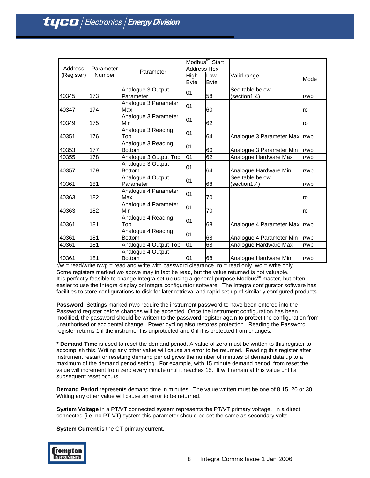| Address    | Parameter | Parameter                           | Modbus <sup>tm</sup> Start<br><b>Address Hex</b> |             |                                 |      |
|------------|-----------|-------------------------------------|--------------------------------------------------|-------------|---------------------------------|------|
| (Register) | Number    |                                     | High<br><b>Byte</b>                              | Low<br>Byte | Valid range                     | Mode |
| 40345      | 173       | Analogue 3 Output<br>Parameter      | 01                                               | 58          | See table below<br>(section1.4) | r/wp |
| 40347      | 174       | Analogue 3 Parameter<br>Max         | 01                                               | 60          |                                 | ro   |
| 40349      | 175       | Analogue 3 Parameter<br>Min         | 01                                               | 62          |                                 | ro   |
| 40351      | 176       | Analogue 3 Reading<br>Top           | 01                                               | 64          | Analogue 3 Parameter Max   r/wp |      |
| 40353      | 177       | Analogue 3 Reading<br><b>Bottom</b> | 01                                               | 60          | Analogue 3 Parameter Min        | r/wp |
| 40355      | 178       | Analogue 3 Output Top               | 01                                               | 62          | Analogue Hardware Max           | r/wp |
| 40357      | 179       | Analogue 3 Output<br><b>Bottom</b>  | 01                                               | 64          | Analogue Hardware Min           | r/wp |
| 40361      | 181       | Analogue 4 Output<br>Parameter      | 01                                               | 68          | See table below<br>(section1.4) | r/wp |
| 40363      | 182       | Analogue 4 Parameter<br>Max         | 01                                               | 70          |                                 | ro   |
| 40363      | 182       | Analogue 4 Parameter<br>Min         | 01                                               | 70          |                                 | ro   |
| 40361      | 181       | Analogue 4 Reading<br>Top           | 01                                               | 68          | Analogue 4 Parameter Max   r/wp |      |
| 40361      | 181       | Analogue 4 Reading<br><b>Bottom</b> | 01                                               | 68          | Analogue 4 Parameter Min        | r/wp |
| 40361      | 181       | Analogue 4 Output Top               | 01                                               | 68          | Analogue Hardware Max           | r/wp |
| 40361      | 181       | Analogue 4 Output<br><b>Bottom</b>  | 01                                               | 68          | Analogue Hardware Min           | r/wp |

 $r/w = \text{read}/\text{write } r/w$  = read and write with password clearance  $ro = \text{read } only$  wo = write only Some registers marked wo above may in fact be read, but the value returned is not valuable. It is perfectly feasible to change Integra set-up using a general purpose Modbus $^{\text{m}}$  master, but often easier to use the Integra display or Integra configurator software. The Integra configurator software has facilities to store configurations to disk for later retrieval and rapid set up of similarly configured products.

**Password** Settings marked r/wp require the instrument password to have been entered into the Password register before changes will be accepted. Once the instrument configuration has been modified, the password should be written to the password register again to protect the configuration from unauthorised or accidental change. Power cycling also restores protection. Reading the Password register returns 1 if the instrument is unprotected and 0 if it is protected from changes.

**\* Demand Time** is used to reset the demand period. A value of zero must be written to this register to accomplish this. Writing any other value will cause an error to be returned. Reading this register after instrument restart or resetting demand period gives the number of minutes of demand data up to a maximum of the demand period setting. For example, with 15 minute demand period, from reset the value will increment from zero every minute until it reaches 15. It will remain at this value until a subsequent reset occurs.

**Demand Period** represents demand time in minutes. The value written must be one of 8,15, 20 or 30,. Writing any other value will cause an error to be returned.

**System Voltage** in a PT/VT connected system represents the PT/VT primary voltage. In a direct connected (i.e. no PT.VT) system this parameter should be set the same as secondary volts.

**System Current** is the CT primary current.

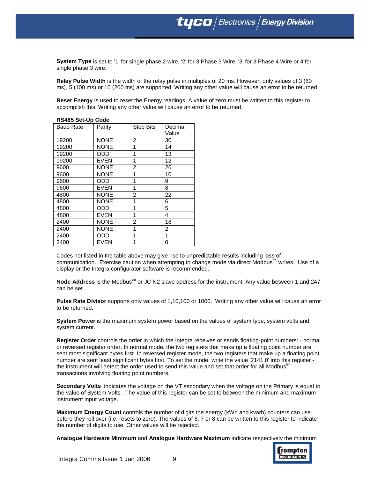**System Type** is set to '1' for single phase 2 wire, '2' for 3 Phase 3 Wire, '3' for 3 Phase 4 Wire or 4 for single phase 3 wire.

**Relay Pulse Width** is the width of the relay pulse in multiples of 20 ms. However, only values of 3 (60 ms), 5 (100 ms) or 10 (200 ms) are supported. Writing any other value will cause an error to be returned.

**Reset Energy** is used to reset the Energy readings. A value of zero must be written to this register to accomplish this. Writing any other value will cause an error to be returned.

## **RS485 Set-Up Code**

| <b>Baud Rate</b> | Parity      | Stop Bits | Decimal |
|------------------|-------------|-----------|---------|
|                  |             |           | Value   |
| 19200            | <b>NONE</b> | 2         | 30      |
| 19200            | <b>NONE</b> | 1         | 14      |
| 19200            | ODD         | 1         | 13      |
| 19200            | EVEN        | 1         | 12      |
| 9600             | <b>NONE</b> | 2         | 26      |
| 9600             | <b>NONE</b> | 1         | 10      |
| 9600             | ODD         | 1         | 9       |
| 9600             | <b>EVEN</b> | 1         | 8       |
| 4800             | <b>NONE</b> | 2         | 22      |
| 4800             | <b>NONE</b> | 1         | 6       |
| 4800             | ODD         | 1         | 5       |
| 4800             | <b>EVEN</b> | 1         | 4       |
| 2400             | <b>NONE</b> | 2         | 18      |
| 2400             | <b>NONE</b> | 1         | 2       |
| 2400             | ODD         | 1         | 1       |
| 2400             | EVEN        | 1         | 0       |

Codes not listed in the table above may give rise to unpredictable results including loss of communication. Exercise caution when attempting to change mode via direct Modbus<sup>tm</sup> writes. Use of a display or the Integra configurator software is recommended.

Node Address is the Modbus<sup>tm</sup> or JC N2 slave address for the instrument. Any value between 1 and 247 can be set.

**Pulse Rate Divisor** supports only values of 1,10,100 or 1000. Writing any other value will cause an error to be returned.

**System Power** is the maximum system power based on the values of system type, system volts and system current.

**Register Order** controls the order in which the Integra receives or sends floating-point numbers: - normal or reversed register order. In normal mode, the two registers that make up a floating point number are sent most significant bytes first. In reversed register mode, the two registers that make up a floating point number are sent least significant bytes first. To set the mode, write the value '2141.0' into this register the instrument will detect the order used to send this value and set that order for all Modbus $^{\text{tr}}$ transactions involving floating point numbers.

**Secondary Volts** indicates the voltage on the VT secondary when the voltage on the Primary is equal to the value of System Volts . The value of this register can be set to between the minimum and maximum instrument input voltage.

**Maximum Energy Count** controls the number of digits the energy (kWh and kvarh) counters can use before they roll over (i.e. resets to zero). The values of 6, 7 or 8 can be written to this register to indicate the number of digits to use. Other values will be rejected.

**Analogue Hardware Minimum** and **Analogue Hardware Maximum** indicate respectively the minimum

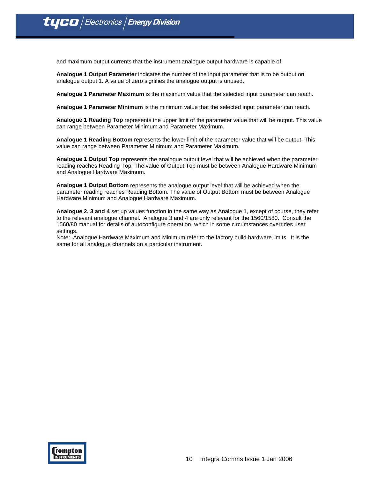and maximum output currents that the instrument analogue output hardware is capable of.

**Analogue 1 Output Parameter** indicates the number of the input parameter that is to be output on analogue output 1. A value of zero signifies the analogue output is unused.

**Analogue 1 Parameter Maximum** is the maximum value that the selected input parameter can reach.

**Analogue 1 Parameter Minimum** is the minimum value that the selected input parameter can reach.

**Analogue 1 Reading Top** represents the upper limit of the parameter value that will be output. This value can range between Parameter Minimum and Parameter Maximum.

**Analogue 1 Reading Bottom** represents the lower limit of the parameter value that will be output. This value can range between Parameter Minimum and Parameter Maximum.

**Analogue 1 Output Top** represents the analogue output level that will be achieved when the parameter reading reaches Reading Top. The value of Output Top must be between Analogue Hardware Minimum and Analogue Hardware Maximum.

**Analogue 1 Output Bottom** represents the analogue output level that will be achieved when the parameter reading reaches Reading Bottom. The value of Output Bottom must be between Analogue Hardware Minimum and Analogue Hardware Maximum.

**Analogue 2, 3 and 4** set up values function in the same way as Analogue 1, except of course, they refer to the relevant analogue channel. Analogue 3 and 4 are only relevant for the 1560/1580. Consult the 1560/80 manual for details of autoconfigure operation, which in some circumstances overrides user settings.

Note: Analogue Hardware Maximum and Minimum refer to the factory build hardware limits. It is the same for all analogue channels on a particular instrument.

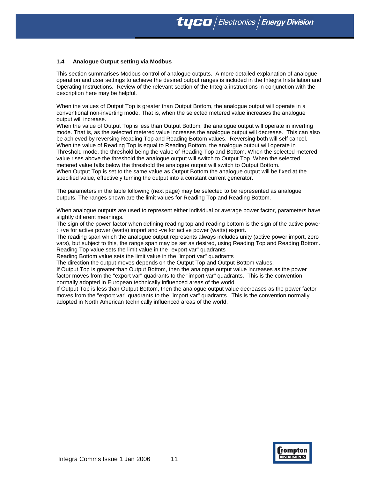### **1.4 Analogue Output setting via Modbus**

This section summarises Modbus control of analogue outputs. A more detailed explanation of analogue operation and user settings to achieve the desired output ranges is included in the Integra Installation and Operating Instructions. Review of the relevant section of the Integra instructions in conjunction with the description here may be helpful.

When the values of Output Top is greater than Output Bottom, the analogue output will operate in a conventional non-inverting mode. That is, when the selected metered value increases the analogue output will increase.

When the value of Output Top is less than Output Bottom, the analogue output will operate in inverting mode. That is, as the selected metered value increases the analogue output will decrease. This can also be achieved by reversing Reading Top and Reading Bottom values. Reversing both will self cancel. When the value of Reading Top is equal to Reading Bottom, the analogue output will operate in Threshold mode, the threshold being the value of Reading Top and Bottom. When the selected metered value rises above the threshold the analogue output will switch to Output Top. When the selected metered value falls below the threshold the analogue output will switch to Output Bottom. When Output Top is set to the same value as Output Bottom the analogue output will be fixed at the specified value, effectively turning the output into a constant current generator.

The parameters in the table following (next page) may be selected to be represented as analogue outputs. The ranges shown are the limit values for Reading Top and Reading Bottom.

When analogue outputs are used to represent either individual or average power factor, parameters have slightly different meanings.

The sign of the power factor when defining reading top and reading bottom is the sign of the active power : +ve for active power (watts) import and -ve for active power (watts) export.

The reading span which the analogue output represents always includes unity (active power import, zero vars), but subject to this, the range span may be set as desired, using Reading Top and Reading Bottom. Reading Top value sets the limit value in the "export var" quadrants

Reading Bottom value sets the limit value in the "import var" quadrants

The direction the output moves depends on the Output Top and Output Bottom values.

If Output Top is greater than Output Bottom, then the analogue output value increases as the power factor moves from the "export var" quadrants to the "import var" quadrants. This is the convention normally adopted in European technically influenced areas of the world.

If Output Top is less than Output Bottom, then the analogue output value decreases as the power factor moves from the "export var" quadrants to the "import var" quadrants. This is the convention normally adopted in North American technically influenced areas of the world.

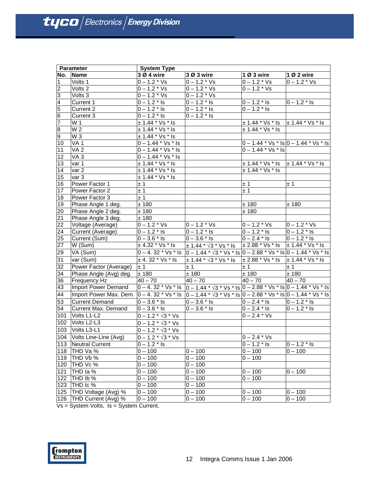|                  | <b>Parameter</b>           | <b>System Type</b>                     |                                                                                                                                                                                                                                                                                                                                                                                                                                                              |                                           |                                           |
|------------------|----------------------------|----------------------------------------|--------------------------------------------------------------------------------------------------------------------------------------------------------------------------------------------------------------------------------------------------------------------------------------------------------------------------------------------------------------------------------------------------------------------------------------------------------------|-------------------------------------------|-------------------------------------------|
| No.              | <b>Name</b>                | 3 Ø 4 wire                             | 3 Ø 3 wire                                                                                                                                                                                                                                                                                                                                                                                                                                                   | 10 3 wire                                 | 1 Ø 2 wire                                |
| $\mathbf{1}$     | Volts 1                    | $0 - 1.2 * Vs$                         | $0 - 1.2 * Vs$                                                                                                                                                                                                                                                                                                                                                                                                                                               | $0 - 1.2 * Vs$                            | $0 - 1.2 * Vs$                            |
| ا C              | Volts 2                    | $0 - 1.2 * Vs$                         | $0 - 1.2 * Vs$                                                                                                                                                                                                                                                                                                                                                                                                                                               | $0 - 1.2 * Vs$                            |                                           |
| က                | Volts 3                    | $0 - 1.2 * Vs$                         | $0 - 1.2 * Vs$                                                                                                                                                                                                                                                                                                                                                                                                                                               |                                           |                                           |
|                  | Current 1                  | $0 - 1.2 *$ Is                         | $0 - 1.2 *$ Is                                                                                                                                                                                                                                                                                                                                                                                                                                               | $0 - 1.2 *$ Is                            | $0 - 1.2 *$ Is                            |
| $\frac{4}{5}$    | Current 2                  | $0 - 1.2 *$ Is                         | $0 - 1.2 *$ Is                                                                                                                                                                                                                                                                                                                                                                                                                                               | $0 - 1.2 *$ Is                            |                                           |
| $6\overline{6}$  | Current 3                  | $0 - 1.2 *$ Is                         | $0 - 1.2 *$ Is                                                                                                                                                                                                                                                                                                                                                                                                                                               |                                           |                                           |
| $\overline{7}$   | W 1                        | $± 1.44 * Vs * Is$                     |                                                                                                                                                                                                                                                                                                                                                                                                                                                              | $\pm$ 1.44 * Vs * Is $\pm$ 1.44 * Vs * Is |                                           |
| $\overline{8}$   | W 2                        | $± 1.44 * Vs * Is$                     |                                                                                                                                                                                                                                                                                                                                                                                                                                                              | $± 1.44 * Vs * Is$                        |                                           |
| б,               | W <sub>3</sub>             | $± 1.44 * Vs * ls$                     |                                                                                                                                                                                                                                                                                                                                                                                                                                                              |                                           |                                           |
| 10               | VA <sub>1</sub>            | $0 - 1.44 * Vs * Is$                   |                                                                                                                                                                                                                                                                                                                                                                                                                                                              |                                           | $0 - 1.44$ * Vs * Is $0 - 1.44$ * Vs * Is |
| 11               | VA <sub>2</sub>            | $0 - 1.44 \times \sqrt{s}$ Is          |                                                                                                                                                                                                                                                                                                                                                                                                                                                              | $0 - 1.44 * Vs * Is$                      |                                           |
| 12               | VA <sub>3</sub>            | $0 - 1.44 * Vs * Is$                   |                                                                                                                                                                                                                                                                                                                                                                                                                                                              |                                           |                                           |
| 13               | var 1                      | $± 1.44 * Vs * Is$                     |                                                                                                                                                                                                                                                                                                                                                                                                                                                              | $\pm$ 1.44 $^*$ Vs $^*$ Is                | $\pm$ 1.44 $*$ Vs $*$ Is                  |
| 14               | var <sub>2</sub>           | $± 1.44 * Vs * Is$                     |                                                                                                                                                                                                                                                                                                                                                                                                                                                              | ± 1.44 * Vs * Is                          |                                           |
| 15               | var 3                      | $\pm$ 1.44 $*$ Vs $*$ Is               |                                                                                                                                                                                                                                                                                                                                                                                                                                                              |                                           |                                           |
| 16               | Power Factor 1             | ±1                                     |                                                                                                                                                                                                                                                                                                                                                                                                                                                              | ± 1                                       | ± 1                                       |
| 17               | Power Factor 2             | ± 1                                    |                                                                                                                                                                                                                                                                                                                                                                                                                                                              | ±1                                        |                                           |
| 18               | Power Factor 3             | ±1                                     |                                                                                                                                                                                                                                                                                                                                                                                                                                                              |                                           |                                           |
| 19               | Phase Angle 1 deg.         | ±180                                   |                                                                                                                                                                                                                                                                                                                                                                                                                                                              | ± 180                                     | ± 180                                     |
| 20               | Phase Angle 2 deg.         | ± 180                                  |                                                                                                                                                                                                                                                                                                                                                                                                                                                              | ± 180                                     |                                           |
| 21               | Phase Angle 3 deg.         | ±180                                   |                                                                                                                                                                                                                                                                                                                                                                                                                                                              |                                           |                                           |
| 22               | Voltage (Average)          | $0 - 1.2 * Vs$                         | $0 - 1.2 * Vs$                                                                                                                                                                                                                                                                                                                                                                                                                                               | $0 - 1.2 * Vs$                            | $0 - 1.2 * Vs$                            |
| 24               | Current (Average)          | $0 - 1.2 *$ Is                         | $0 - 1.2 *$ Is                                                                                                                                                                                                                                                                                                                                                                                                                                               | $0 - 1.2 *$ Is                            | $0 - 1.2 *$ Is                            |
| 25               | Current (Sum)              | $0 - 3.6 *$ Is                         | $0 - 3.6 *$ Is                                                                                                                                                                                                                                                                                                                                                                                                                                               | $0 - 2.4 *$ Is                            | $0 - 1.2 *$ Is                            |
| 27               | W (Sum)                    | $\pm$ 4.32 $^{\star}$ Vs $^{\star}$ Is | $\pm$ 1.44 * $\sqrt{3}$ * Vs * Is $\pm$ 2.88 * Vs * Is $\pm$ 1.44 * Vs * Is                                                                                                                                                                                                                                                                                                                                                                                  |                                           |                                           |
| 9                | VA (Sum)                   |                                        | $0 - 4$ . 32 * Vs * ls $\boxed{0 - 1.44 \cdot \sqrt{3} \cdot \sqrt{5} \cdot \sqrt{5}}$ ls $\boxed{0 - 2.88 \cdot \sqrt{5} \cdot \sqrt{5}}$ ls $\boxed{0 - 1.44 \cdot \sqrt{5} \cdot \sqrt{5}}$ ls                                                                                                                                                                                                                                                            |                                           |                                           |
| 31               | var (Sum)                  | $±$ 4.32 $*$ Vs $*$ Is                 | ± 1.44 * √3 * Vs * Is                                                                                                                                                                                                                                                                                                                                                                                                                                        | $\pm$ 2.88 $^{\star}$ Vs $^{\star}$ Is    | $\pm$ 1.44 * Vs * Is                      |
| 32               | Power Factor (Average)     | ± 1                                    | ±1                                                                                                                                                                                                                                                                                                                                                                                                                                                           | ±1                                        | ±1                                        |
| 34               | Phase Angle (Avg) deg.     | ± 180                                  | ± 180                                                                                                                                                                                                                                                                                                                                                                                                                                                        | ± 180                                     | ± 180                                     |
| 36               | <b>Frequency Hz</b>        | $40 - 70$                              | $40 - 70$                                                                                                                                                                                                                                                                                                                                                                                                                                                    | $40 - 70$                                 | $40 - 70$                                 |
| 43               | Import Power Demand        |                                        | $0 - 4$ . 32 * Vs * Is $\left 0 - 1.44 \cdot \sqrt{3} \cdot \sqrt{5} \cdot \sqrt{5} \cdot \sqrt{5} \cdot \sqrt{5} \cdot \sqrt{5} \cdot \sqrt{5} \cdot \sqrt{5} \cdot \sqrt{5} \cdot \sqrt{5} \cdot \sqrt{5} \cdot \sqrt{5} \cdot \sqrt{5} \cdot \sqrt{5} \cdot \sqrt{5} \cdot \sqrt{5} \cdot \sqrt{5} \cdot \sqrt{5} \cdot \sqrt{5} \cdot \sqrt{5} \cdot \sqrt{5} \cdot \sqrt{5} \cdot \sqrt{5} \cdot \sqrt{5} \cdot \sqrt{5} \cdot \sqrt{5} \cdot \sqrt{5}$ |                                           |                                           |
| 44               | Import Power Max. Dem.     |                                        | $\left 0-4.32 \right ^{*}$ Vs $^{*}$ Is $\left 0-1.44 \right ^{*}$ $\sqrt{3}$ $^{*}$ Vs $^{*}$ Is $\left 0-2.88 \right ^{*}$ Vs $^{*}$ Is $\left 0-1.44 \right ^{*}$ Vs $^{*}$ Is                                                                                                                                                                                                                                                                            |                                           |                                           |
| 53               | <b>Current Demand</b>      | $0 - 3.6 *$ Is                         | $0 - 3.6 * \overline{ls}$                                                                                                                                                                                                                                                                                                                                                                                                                                    | $0 - 2.4$ * Is                            | $0 - 1.2 *$ Is                            |
| 54               | <b>Current Max. Demand</b> | $0 - 3.6 *$ Is                         | $0 - 3.6 *$ Is                                                                                                                                                                                                                                                                                                                                                                                                                                               | $0 - 2.4 *$ Is                            | $0 - 1.2 *$ Is                            |
| $\overline{1}01$ | Volts L1-L2                | $0 - 1.2 * \sqrt{3} * Vs$              |                                                                                                                                                                                                                                                                                                                                                                                                                                                              | $0 - 2.4 * Vs$                            |                                           |
| 102              | Volts L2-L3                | $0 - 1.2 * \sqrt{3} * Vs$              |                                                                                                                                                                                                                                                                                                                                                                                                                                                              |                                           |                                           |
| 103              | Volts L3-L1                | $0 - 1.2 * \sqrt{3} * Vs$              |                                                                                                                                                                                                                                                                                                                                                                                                                                                              |                                           |                                           |
|                  | 104 Volts Line-Line (Avg)  | $0 - 1.2 * \sqrt{3} * \sqrt{s}$        |                                                                                                                                                                                                                                                                                                                                                                                                                                                              | $0 - 2.4 * Vs$                            |                                           |
| 113              | Neutral Current            | $0 - 1.2 *$ Is                         |                                                                                                                                                                                                                                                                                                                                                                                                                                                              | $0 - 1.2 *$ Is                            | $0 - 1.2 *$ Is                            |
| 118              | THD Va %                   | $0 - 100$                              | $0 - 100$                                                                                                                                                                                                                                                                                                                                                                                                                                                    | $0 - 100$                                 | $0 - 100$                                 |
| 119              | THD Vb %                   | $0 - 100$                              | $0 - 100$                                                                                                                                                                                                                                                                                                                                                                                                                                                    | $0 - 100$                                 |                                           |
| 120              | THD Vc %                   | $0 - 100$                              | $0 - 100$                                                                                                                                                                                                                                                                                                                                                                                                                                                    |                                           |                                           |
| 121              | THD Ia %                   | $0 - 100$                              | $0 - 100$                                                                                                                                                                                                                                                                                                                                                                                                                                                    | $0 - 100$                                 | $0 - 100$                                 |
| 122              | THD Ib %                   | $0 - 100$                              | $0 - 100$                                                                                                                                                                                                                                                                                                                                                                                                                                                    | $0 - 100$                                 |                                           |
| 123              | THD Ic %                   | $0 - 100$                              | $0 - 100$                                                                                                                                                                                                                                                                                                                                                                                                                                                    |                                           |                                           |
| 125              | THD Voltage (Avg) %        | $0 - 100$                              | $0 - 100$                                                                                                                                                                                                                                                                                                                                                                                                                                                    | $0 - 100$                                 | $0 - 100$                                 |
| 126              | THD Current (Avg) %        | $0 - 100$                              | $0 - 100$                                                                                                                                                                                                                                                                                                                                                                                                                                                    | $0 - 100$                                 | $0 - 100$                                 |

Vs = System Volts, Is = System Current.

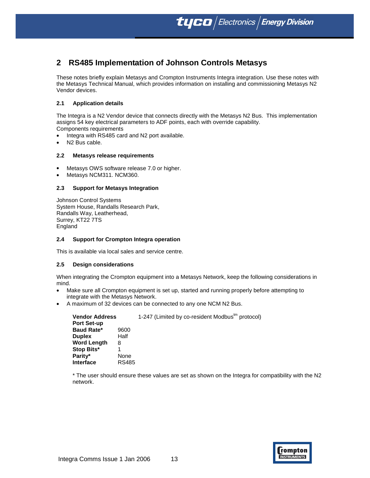# **2 RS485 Implementation of Johnson Controls Metasys**

These notes briefly explain Metasys and Crompton Instruments Integra integration. Use these notes with the Metasys Technical Manual, which provides information on installing and commissioning Metasys N2 Vendor devices.

## **2.1 Application details**

The Integra is a N2 Vendor device that connects directly with the Metasys N2 Bus. This implementation assigns 54 key electrical parameters to ADF points, each with override capability.

- Components requirements
- Integra with RS485 card and N2 port available.
- N2 Bus cable.

#### **2.2 Metasys release requirements**

- Metasys OWS software release 7.0 or higher.
- Metasys NCM311. NCM360.

#### **2.3 Support for Metasys Integration**

Johnson Control Systems System House, Randalls Research Park, Randalls Way, Leatherhead, Surrey, KT22 7TS England

## **2.4 Support for Crompton Integra operation**

This is available via local sales and service centre.

#### **2.5 Design considerations**

When integrating the Crompton equipment into a Metasys Network, keep the following considerations in mind.

- Make sure all Crompton equipment is set up, started and running properly before attempting to integrate with the Metasys Network.
- A maximum of 32 devices can be connected to any one NCM N2 Bus.

| <b>Vendor Address</b> |              | 1-247 (Limited by co-resident Modbus <sup>tm</sup> protocol) |  |
|-----------------------|--------------|--------------------------------------------------------------|--|
| <b>Port Set-up</b>    |              |                                                              |  |
| <b>Baud Rate*</b>     | 9600         |                                                              |  |
| <b>Duplex</b>         | Half         |                                                              |  |
| <b>Word Length</b>    | 8            |                                                              |  |
| Stop Bits*            |              |                                                              |  |
| Parity*               | None         |                                                              |  |
| <b>Interface</b>      | <b>RS485</b> |                                                              |  |

\* The user should ensure these values are set as shown on the Integra for compatibility with the N2 network.

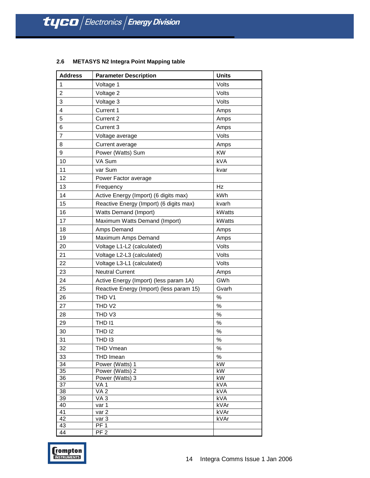| <b>Address</b>  | <b>Parameter Description</b>             | <b>Units</b>           |
|-----------------|------------------------------------------|------------------------|
| $\mathbf{1}$    | Voltage 1                                | Volts                  |
| $\overline{c}$  | Voltage 2                                | Volts                  |
| 3               | Voltage 3                                | Volts                  |
| 4               | Current 1                                | Amps                   |
| 5               | Current 2                                | Amps                   |
| 6               | Current 3                                | Amps                   |
| $\overline{7}$  | Voltage average                          | Volts                  |
| 8               | Current average                          | Amps                   |
| 9               | Power (Watts) Sum                        | <b>KW</b>              |
| 10              | VA Sum                                   | kVA                    |
| 11              | var Sum                                  | kvar                   |
| 12              | Power Factor average                     |                        |
| 13              | Frequency                                | Hz                     |
| 14              | Active Energy (Import) (6 digits max)    | kWh                    |
| 15              | Reactive Energy (Import) (6 digits max)  | kvarh                  |
| 16              | <b>Watts Demand (Import)</b>             | kWatts                 |
| 17              | Maximum Watts Demand (Import)            | kWatts                 |
| 18              |                                          |                        |
|                 | Amps Demand                              | Amps                   |
| 19              | Maximum Amps Demand                      | Amps                   |
| 20              | Voltage L1-L2 (calculated)               | Volts                  |
| 21              | Voltage L2-L3 (calculated)               | Volts                  |
| 22              | Voltage L3-L1 (calculated)               | Volts                  |
| 23              | <b>Neutral Current</b>                   | Amps                   |
| 24              | Active Energy (Import) (less param 1A)   | GWh                    |
| 25              | Reactive Energy (Import) (less param 15) | Gvarh                  |
| 26              | THD <sub>V1</sub>                        | %                      |
| 27              | THD <sub>V2</sub>                        | $\%$                   |
| 28              | THD V3                                   | $\%$                   |
| 29              | THD I1                                   | %                      |
| 30              | <b>THD 12</b>                            | $\%$                   |
| 31              | THD 13                                   | $\%$                   |
| 32              | <b>THD Vmean</b>                         | %                      |
| 33              | THD Imean                                | $\%$                   |
| $\overline{34}$ | Power (Watts) 1                          | $\overline{\text{KW}}$ |
| 35              | Power (Watts) 2                          | kW                     |
| 36<br>37        | Power (Watts) 3                          | kW<br>kVA              |
| 38              | VA <sub>1</sub><br>VA <sub>2</sub>       | kVA                    |
| 39              | VA <sub>3</sub>                          | kVA                    |
| 40              | var 1                                    | kVAr                   |
| 41              | var 2                                    | kVAr                   |
| 42              | var 3                                    | kVAr                   |
| 43<br>44        | PF <sub>1</sub><br>PF <sub>2</sub>       |                        |
|                 |                                          |                        |

## **2.6 METASYS N2 Integra Point Mapping table**

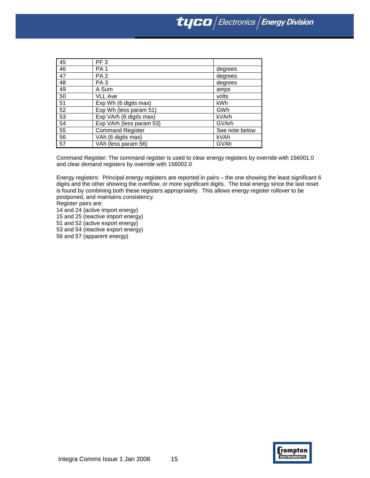| 45 | PF <sub>3</sub>          |                |
|----|--------------------------|----------------|
| 46 | <b>PA1</b>               | degrees        |
| 47 | PA <sub>2</sub>          | degrees        |
| 48 | PA <sub>3</sub>          | degrees        |
| 49 | A Sum                    | amps           |
| 50 | VLL Ave                  | volts          |
| 51 | Exp Wh (6 digits max)    | kWh            |
| 52 | Exp Wh (less param 51)   | GWh            |
| 53 | Exp VArh (6 digits max)  | kVArh          |
| 54 | Exp VArh (less param 53) | GVArh          |
| 55 | <b>Command Register</b>  | See note below |
| 56 | VAh (6 digits max)       | kVAh           |
| 57 | VAh (less param 56)      | GVAh           |

Command Register: The command register is used to clear energy registers by override with 156001.0 and clear demand registers by override with 156002.0

Energy registers: Principal energy registers are reported in pairs – the one showing the least significant 6 digits and the other showing the overflow, or more significant digits. The total energy since the last reset is found by combining both these registers appropriately. This allows energy register rollover to be postponed, and maintains consistency.

Register pairs are:

14 and 24 (active import energy)

15 and 25 (reactive import energy)

51 and 52 (active export energy)

53 and 54 (reactive export energy)

56 and 57 (apparent energy)

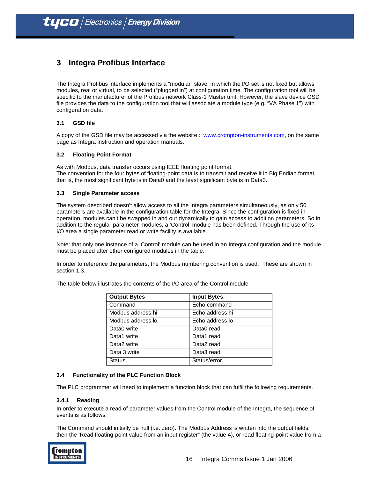# **3 Integra Profibus Interface**

The Integra Profibus interface implements a "modular" slave, in which the I/O set is not fixed but allows modules, real or virtual, to be selected ("plugged in") at configuration time. The configuration tool will be specific to the manufacturer of the Profibus network Class-1 Master unit. However, the slave device GSD file provides the data to the configuration tool that will associate a module type (e.g. "VA Phase 1") with configuration data.

## **3.1 GSD file**

A copy of the GSD file may be accessed via the website : www.crompton-instruments.com, on the same page as Integra instruction and operation manuals.

## **3.2 Floating Point Format**

As with Modbus, data transfer occurs using IEEE floating point format. The convention for the four bytes of floating-point data is to transmit and receive it in Big Endian format, that is, the most significant byte is in Data0 and the least significant byte is in Data3.

## **3.3 Single Parameter access**

The system described doesn't allow access to all the Integra parameters simultaneously, as only 50 parameters are available in the configuration table for the Integra. Since the configuration is fixed in operation, modules can't be swapped in and out dynamically to gain access to addition parameters. So in addition to the regular parameter modules, a 'Control' module has been defined. Through the use of its I/O area a single parameter read or write facility is available.

Note: that only one instance of a 'Control' module can be used in an Integra configuration and the module must be placed after other configured modules in the table.

In order to reference the parameters, the Modbus numbering convention is used. These are shown in section 1.3.

The table below illustrates the contents of the I/O area of the Control module.

| <b>Output Bytes</b>     | <b>Input Bytes</b> |
|-------------------------|--------------------|
| Command                 | Echo command       |
| Modbus address hi       | Echo address hi    |
| Modbus address lo       | Echo address lo    |
| Data0 write             | Data0 read         |
| Data1 write             | Data1 read         |
| Data <sub>2</sub> write | Data2 read         |
| Data 3 write            | Data3 read         |
| Status                  | Status/error       |

## **3.4 Functionality of the PLC Function Block**

The PLC programmer will need to implement a function block that can fulfil the following requirements.

#### **3.4.1 Reading**

In order to execute a read of parameter values from the Control module of the Integra, the sequence of events is as follows:

The Command should initially be null (i.e. zero). The Modbus Address is written into the output fields, then the 'Read floating-point value from an input register" (the value 4), or read floating-point value from a

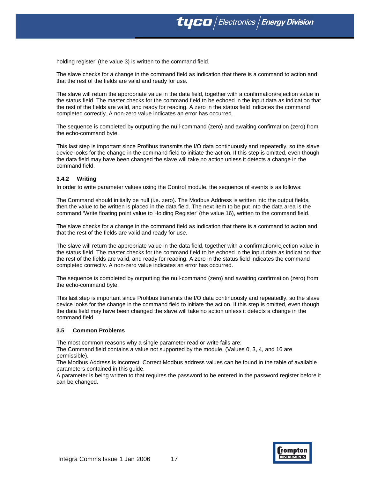**tyco** Electronics **Energy Division** 

holding register' (the value 3) is written to the command field.

The slave checks for a change in the command field as indication that there is a command to action and that the rest of the fields are valid and ready for use.

The slave will return the appropriate value in the data field, together with a confirmation/rejection value in the status field. The master checks for the command field to be echoed in the input data as indication that the rest of the fields are valid, and ready for reading. A zero in the status field indicates the command completed correctly. A non-zero value indicates an error has occurred.

The sequence is completed by outputting the null-command (zero) and awaiting confirmation (zero) from the echo-command byte.

This last step is important since Profibus transmits the I/O data continuously and repeatedly, so the slave device looks for the change in the command field to initiate the action. If this step is omitted, even though the data field may have been changed the slave will take no action unless it detects a change in the command field.

#### **3.4.2 Writing**

In order to write parameter values using the Control module, the sequence of events is as follows:

The Command should initially be null (i.e. zero). The Modbus Address is written into the output fields, then the value to be written is placed in the data field. The next item to be put into the data area is the command 'Write floating point value to Holding Register' (the value 16), written to the command field.

The slave checks for a change in the command field as indication that there is a command to action and that the rest of the fields are valid and ready for use.

The slave will return the appropriate value in the data field, together with a confirmation/rejection value in the status field. The master checks for the command field to be echoed in the input data as indication that the rest of the fields are valid, and ready for reading. A zero in the status field indicates the command completed correctly. A non-zero value indicates an error has occurred.

The sequence is completed by outputting the null-command (zero) and awaiting confirmation (zero) from the echo-command byte.

This last step is important since Profibus transmits the I/O data continuously and repeatedly, so the slave device looks for the change in the command field to initiate the action. If this step is omitted, even though the data field may have been changed the slave will take no action unless it detects a change in the command field.

#### **3.5 Common Problems**

The most common reasons why a single parameter read or write fails are:

The Command field contains a value not supported by the module. (Values 0, 3, 4, and 16 are permissible).

The Modbus Address is incorrect. Correct Modbus address values can be found in the table of available parameters contained in this guide.

A parameter is being written to that requires the password to be entered in the password register before it can be changed.

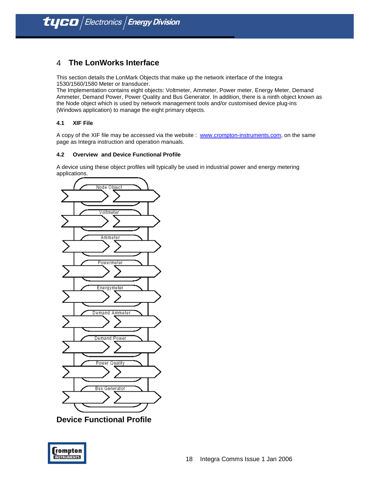## 4 **The LonWorks Interface**

This section details the LonMark Objects that make up the network interface of the Integra 1530/1560/1580 Meter or transducer.

The Implementation contains eight objects: Voltmeter, Ammeter, Power meter, Energy Meter, Demand Ammeter, Demand Power, Power Quality and Bus Generator. In addition, there is a ninth object known as the Node object which is used by network management tools and/or customised device plug-ins (Windows application) to manage the eight primary objects.

## **4.1 XIF File**

A copy of the XIF file may be accessed via the website : www.crompton-instruments.com, on the same page as Integra instruction and operation manuals.

## **4.2 Overview and Device Functional Profile**

A device using these object profiles will typically be used in industrial power and energy metering applications.



**Device Functional Profile** 

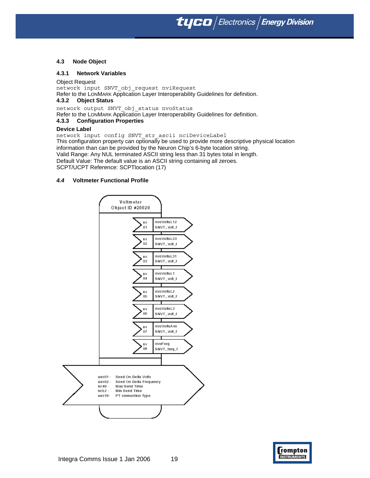tyco $/$ Electronics  $/$  Energy Division

#### **4.3 Node Object**

#### **4.3.1 Network Variables**

Object Request network input SNVT\_obj\_request nviRequest Refer to the LONMARK Application Layer Interoperability Guidelines for definition.

## **4.3.2 Object Status**

network output SNVT\_obj\_status nvoStatus

Refer to the LONMARK Application Layer Interoperability Guidelines for definition.

#### **4.3.3 Configuration Properties**

#### **Device Label**

network input config SNVT\_str\_ascii nciDeviceLabel This configuration property can optionally be used to provide more descriptive physical location information than can be provided by the Neuron Chip's 6-byte location string. Valid Range: Any NUL terminated ASCII string less than 31 bytes total in length. Default Value: The default value is an ASCII string containing all zeroes. SCPT/UCPT Reference: SCPTlocation (17)

### *4.4* **Voltmeter Functional Profile**



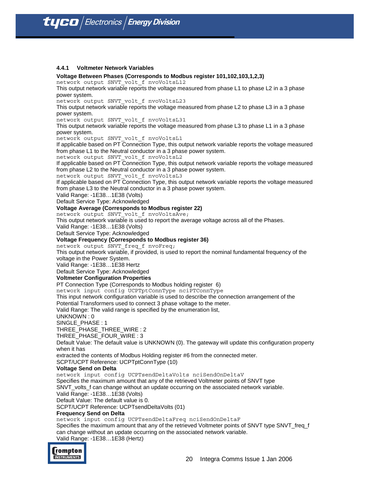#### **4.4.1 Voltmeter Network Variables**

**Voltage Between Phases (Corresponds to Modbus register 101,102,103,1,2,3)**

network output SNVT\_volt\_f nvoVoltsL12

This output network variable reports the voltage measured from phase L1 to phase L2 in a 3 phase power system.

network output SNVT volt f nvoVoltsL23

This output network variable reports the voltage measured from phase L2 to phase L3 in a 3 phase power system.

network output SNVT\_volt\_f nvoVoltsL31

This output network variable reports the voltage measured from phase L3 to phase L1 in a 3 phase power system.

network output SNVT\_volt\_f nvoVoltsL1

If applicable based on PT Connection Type, this output network variable reports the voltage measured from phase L1 to the Neutral conductor in a 3 phase power system.

network output SNVT\_volt\_f nvoVoltsL2

If applicable based on PT Connection Type, this output network variable reports the voltage measured from phase L2 to the Neutral conductor in a 3 phase power system.

network output SNVT\_volt\_f nvoVoltsL3

If applicable based on PT Connection Type, this output network variable reports the voltage measured from phase L3 to the Neutral conductor in a 3 phase power system.

Valid Range: -1E38…1E38 (Volts)

Default Service Type: Acknowledged

#### **Voltage Average (Corresponds to Modbus register 22)**

network output SNVT\_volt\_f nvoVoltsAve;

This output network variable is used to report the average voltage across all of the Phases.

Valid Range: -1E38…1E38 (Volts)

Default Service Type: Acknowledged

## **Voltage Frequency (Corresponds to Modbus register 36)**

network output SNVT freq f nvoFreq;

This output network variable, if provided, is used to report the nominal fundamental frequency of the voltage in the Power System.

Valid Range: -1E38…1E38 Hertz

Default Service Type: Acknowledged

#### **Voltmeter Configuration Properties**

PT Connection Type (Corresponds to Modbus holding register 6)

network input config UCPTptConnType nciPTConnType

This input network configuration variable is used to describe the connection arrangement of the

Potential Transformers used to connect 3 phase voltage to the meter.

Valid Range: The valid range is specified by the enumeration list,

UNKNOWN : 0

SINGLE\_PHASE : 1

THREE\_PHASE\_THREE\_WIRE : 2

THREE\_PHASE\_FOUR\_WIRE : 3

Default Value: The default value is UNKNOWN (0). The gateway will update this configuration property when it has

extracted the contents of Modbus Holding register #6 from the connected meter.

SCPT/UCPT Reference: UCPTptConnType (10)

#### **Voltage Send on Delta**

network input config UCPTsendDeltaVolts nciSendOnDeltaV

Specifies the maximum amount that any of the retrieved Voltmeter points of SNVT type

SNVT\_volts\_f can change without an update occurring on the associated network variable.

Valid Range: -1E38…1E38 (Volts)

Default Value: The default value is 0.

SCPT/UCPT Reference: UCPTsendDeltaVolts (01)

#### **Frequency Send on Delta**

network input config UCPTsendDeltaFreq nciSendOnDeltaF Specifies the maximum amount that any of the retrieved Voltmeter points of SNVT type SNVT\_freq\_f can change without an update occurring on the associated network variable. Valid Range: -1E38…1E38 (Hertz)

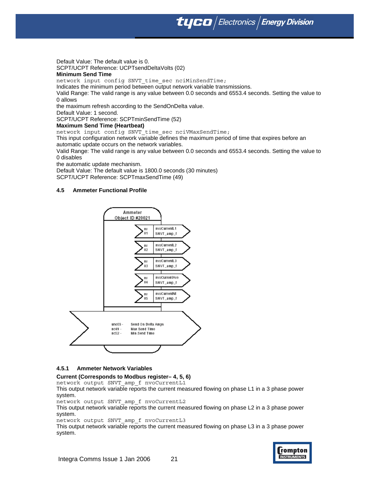**tyco** / Electronics / Energy Division

Default Value: The default value is 0. SCPT/UCPT Reference: UCPTsendDeltaVolts (02)

#### **Minimum Send Time**

network input config SNVT time sec nciMinSendTime;

Indicates the minimum period between output network variable transmissions.

Valid Range: The valid range is any value between 0.0 seconds and 6553.4 seconds. Setting the value to 0 allows

the maximum refresh according to the SendOnDelta value.

Default Value: 1 second.

SCPT/UCPT Reference: SCPTminSendTime (52)

#### **Maximum Send Time (Heartbeat)**

network input config SNVT time sec nciVMaxSendTime;

This input configuration network variable defines the maximum period of time that expires before an automatic update occurs on the network variables.

Valid Range: The valid range is any value between 0.0 seconds and 6553.4 seconds. Setting the value to 0 disables

the automatic update mechanism.

Default Value: The default value is 1800.0 seconds (30 minutes) SCPT/UCPT Reference: SCPTmaxSendTime (49)

#### **4.5 Ammeter Functional Profile**



#### **4.5.1 Ammeter Network Variables**

#### **Current (Corresponds to Modbus register– 4, 5, 6)**

network output SNVT\_amp\_f nvoCurrentL1

This output network variable reports the current measured flowing on phase L1 in a 3 phase power system.

network output SNVT\_amp\_f nvoCurrentL2

This output network variable reports the current measured flowing on phase L2 in a 3 phase power system.

network output SNVT\_amp\_f nvoCurrentL3

This output network variable reports the current measured flowing on phase L3 in a 3 phase power system.

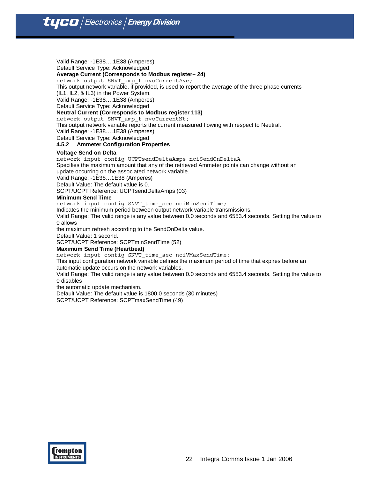Valid Range: -1E38….1E38 (Amperes) Default Service Type: Acknowledged **Average Current (Corresponds to Modbus register– 24)**  network output SNVT\_amp\_f nvoCurrentAve;

This output network variable, if provided, is used to report the average of the three phase currents

(IL1, IL2, & IL3) in the Power System.

Valid Range: -1E38….1E38 (Amperes)

Default Service Type: Acknowledged

## **Neutral Current (Corresponds to Modbus register 113)**

network output SNVT\_amp\_f nvoCurrentNt;

This output network variable reports the current measured flowing with respect to Neutral.

Valid Range: -1E38….1E38 (Amperes)

Default Service Type: Acknowledged

#### **4.5.2 Ammeter Configuration Properties**

#### **Voltage Send on Delta**

network input config UCPTsendDeltaAmps nciSendOnDeltaA Specifies the maximum amount that any of the retrieved Ammeter points can change without an update occurring on the associated network variable.

Valid Range: -1E38…1E38 (Amperes)

Default Value: The default value is 0.

SCPT/UCPT Reference: UCPTsendDeltaAmps (03)

#### **Minimum Send Time**

network input config SNVT time sec nciMinSendTime;

Indicates the minimum period between output network variable transmissions.

Valid Range: The valid range is any value between 0.0 seconds and 6553.4 seconds. Setting the value to 0 allows

the maximum refresh according to the SendOnDelta value.

Default Value: 1 second.

SCPT/UCPT Reference: SCPTminSendTime (52)

#### **Maximum Send Time (Heartbeat)**

network input config SNVT time sec nciVMaxSendTime;

This input configuration network variable defines the maximum period of time that expires before an automatic update occurs on the network variables.

Valid Range: The valid range is any value between 0.0 seconds and 6553.4 seconds. Setting the value to 0 disables

the automatic update mechanism.

Default Value: The default value is 1800.0 seconds (30 minutes)

SCPT/UCPT Reference: SCPTmaxSendTime (49)

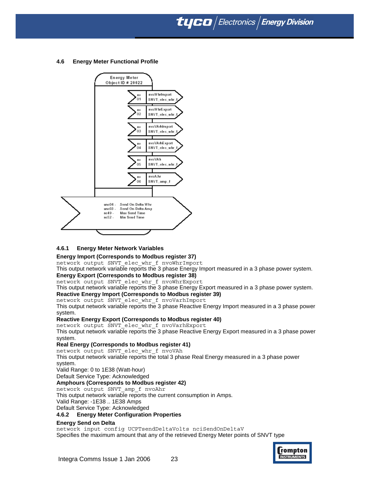**tyco** Electronics **Energy Division** 

#### **4.6 Energy Meter Functional Profile**



#### **4.6.1 Energy Meter Network Variables**

**Energy Import (Corresponds to Modbus register 37)** 

network output SNVT\_elec\_whr\_f nvoWhrImport

This output network variable reports the 3 phase Energy Import measured in a 3 phase power system.

**Energy Export (Corresponds to Modbus register 38)** 

network output SNVT\_elec\_whr\_f nvoWhrExport This output network variable reports the 3 phase Energy Export measured in a 3 phase power system.

**Reactive Energy Import (Corresponds to Modbus register 39)** 

network output SNVT\_elec\_whr\_f nvoVarhImport

This output network variable reports the 3 phase Reactive Energy Import measured in a 3 phase power system.

## **Reactive Energy Export (Corresponds to Modbus register 40)**

network output SNVT\_elec\_whr\_f nvoVarhExport

This output network variable reports the 3 phase Reactive Energy Export measured in a 3 phase power system.

#### **Real Energy (Corresponds to Modbus register 41)**

network output SNVT\_elec\_whr\_f nvoVAh This output network variable reports the total 3 phase Real Energy measured in a 3 phase power system.

Valid Range: 0 to 1E38 (Watt-hour)

Default Service Type: Acknowledged

#### **Amphours (Corresponds to Modbus register 42)**

network output SNVT\_amp\_f nvoAhr

This output network variable reports the current consumption in Amps.

Valid Range: -1E38 .. 1E38 Amps

Default Service Type: Acknowledged

#### **4.6.2 Energy Meter Configuration Properties**

#### **Energy Send on Delta**

network input config UCPTsendDeltaVolts nciSendOnDeltaV Specifies the maximum amount that any of the retrieved Energy Meter points of SNVT type

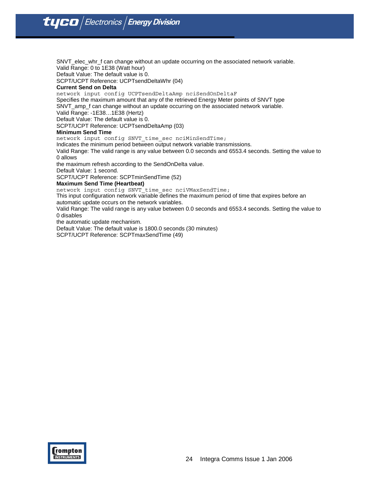SNVT\_elec\_whr\_f can change without an update occurring on the associated network variable. Valid Range: 0 to 1E38 (Watt hour)

Default Value: The default value is 0.

SCPT/UCPT Reference: UCPTsendDeltaWhr (04)

#### **Current Send on Delta**

network input config UCPTsendDeltaAmp nciSendOnDeltaF

Specifies the maximum amount that any of the retrieved Energy Meter points of SNVT type SNVT\_amp\_f can change without an update occurring on the associated network variable.

Valid Range: -1E38…1E38 (Hertz)

Default Value: The default value is 0. SCPT/UCPT Reference: UCPTsendDeltaAmp (03)

#### **Minimum Send Time**

network input config SNVT time sec nciMinSendTime;

Indicates the minimum period between output network variable transmissions.

Valid Range: The valid range is any value between 0.0 seconds and 6553.4 seconds. Setting the value to 0 allows

the maximum refresh according to the SendOnDelta value.

Default Value: 1 second.

SCPT/UCPT Reference: SCPTminSendTime (52)

#### **Maximum Send Time (Heartbeat)**

network input config SNVT\_time\_sec nciVMaxSendTime;

This input configuration network variable defines the maximum period of time that expires before an automatic update occurs on the network variables.

Valid Range: The valid range is any value between 0.0 seconds and 6553.4 seconds. Setting the value to 0 disables

the automatic update mechanism.

Default Value: The default value is 1800.0 seconds (30 minutes)

SCPT/UCPT Reference: SCPTmaxSendTime (49)

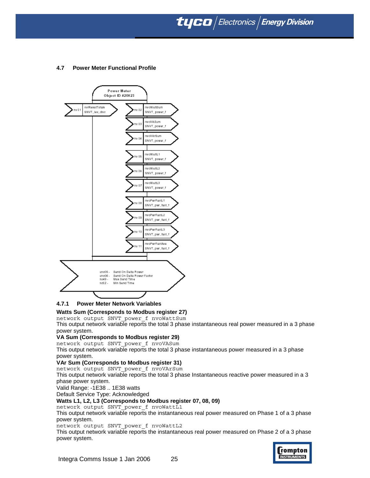**tyco** Electronics **Energy Division** 

## **4.7 Power Meter Functional Profile**



## **4.7.1 Power Meter Network Variables**

#### **Watts Sum (Corresponds to Modbus register 27)**

network output SNVT\_power\_f nvoWattSum

This output network variable reports the total 3 phase instantaneous real power measured in a 3 phase power system.

## **VA Sum (Corresponds to Modbus register 29)**

network output SNVT\_power\_f nvoVASum

This output network variable reports the total 3 phase instantaneous power measured in a 3 phase power system.

## **VAr Sum (Corresponds to Modbus register 31)**

network output SNVT\_power\_f nvoVArSum This output network variable reports the total 3 phase Instantaneous reactive power measured in a 3

phase power system.

Valid Range: -1E38 .. 1E38 watts

Default Service Type: Acknowledged

## **Watts L1, L2, L3 (Corresponds to Modbus register 07, 08, 09)**

network output SNVT\_power\_f nvoWattL1

This output network variable reports the instantaneous real power measured on Phase 1 of a 3 phase power system.

network output SNVT\_power\_f nvoWattL2

This output network variable reports the instantaneous real power measured on Phase 2 of a 3 phase power system.

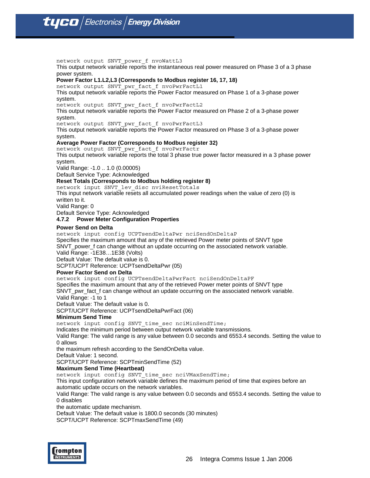network output SNVT\_power\_f nvoWattL3 This output network variable reports the instantaneous real power measured on Phase 3 of a 3 phase power system.

### **Power Factor L1.L2,L3 (Corresponds to Modbus register 16, 17, 18)**

network output SNVT\_pwr\_fact\_f nvoPwrFactL1

This output network variable reports the Power Factor measured on Phase 1 of a 3-phase power system.

network output SNVT\_pwr\_fact\_f nvoPwrFactL2

This output network variable reports the Power Factor measured on Phase 2 of a 3-phase power system.

network output SNVT\_pwr\_fact\_f nvoPwrFactL3

This output network variable reports the Power Factor measured on Phase 3 of a 3-phase power system.

#### **Average Power Factor (Corresponds to Modbus register 32)**

network output SNVT\_pwr\_fact\_f nvoPwrFactr

This output network variable reports the total 3 phase true power factor measured in a 3 phase power system.

Valid Range: -1.0 .. 1.0 (0.00005)

Default Service Type: Acknowledged

#### **Reset Totals (Corresponds to Modbus holding register 8)**

network input SNVT\_lev\_disc nviResetTotals

This input network variable resets all accumulated power readings when the value of zero (0) is written to it.

Valid Range: 0

Default Service Type: Acknowledged

## **4.7.2 Power Meter Configuration Properties**

#### **Power Send on Delta**

network input config UCPTsendDeltaPwr nciSendOnDeltaP

Specifies the maximum amount that any of the retrieved Power meter points of SNVT type SNVT\_power\_f can change without an update occurring on the associated network variable.

Valid Range: -1E38…1E38 (Volts)

Default Value: The default value is 0.

SCPT/UCPT Reference: UCPTsendDeltaPwr (05)

#### **Power Factor Send on Delta**

network input config UCPTsendDeltaPwrFact nciSendOnDeltaPF

Specifies the maximum amount that any of the retrieved Power meter points of SNVT type SNVT\_pwr\_fact\_f can change without an update occurring on the associated network variable. Valid Range: -1 to 1

Default Value: The default value is 0.

SCPT/UCPT Reference: UCPTsendDeltaPwrFact (06)

#### **Minimum Send Time**

network input config SNVT time sec nciMinSendTime;

Indicates the minimum period between output network variable transmissions.

Valid Range: The valid range is any value between 0.0 seconds and 6553.4 seconds. Setting the value to 0 allows

the maximum refresh according to the SendOnDelta value.

Default Value: 1 second.

SCPT/UCPT Reference: SCPTminSendTime (52)

## **Maximum Send Time (Heartbeat)**

network input config SNVT\_time\_sec nciVMaxSendTime;

This input configuration network variable defines the maximum period of time that expires before an automatic update occurs on the network variables.

Valid Range: The valid range is any value between 0.0 seconds and 6553.4 seconds. Setting the value to 0 disables

the automatic update mechanism.

Default Value: The default value is 1800.0 seconds (30 minutes)

SCPT/UCPT Reference: SCPTmaxSendTime (49)

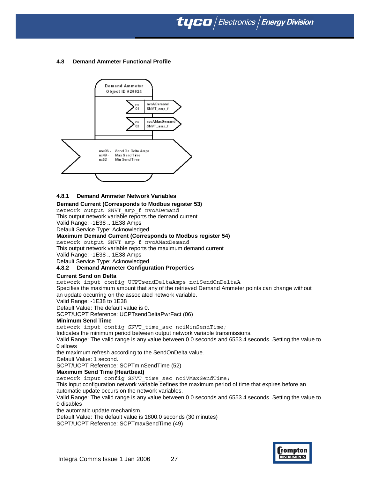## **4.8 Demand Ammeter Functional Profile**



#### **4.8.1 Demand Ammeter Network Variables**

#### **Demand Current (Corresponds to Modbus register 53)**

network output SNVT\_amp\_f nvoADemand This output network variable reports the demand current Valid Range: -1E38 .. 1E38 Amps

Default Service Type: Acknowledged

#### **Maximum Demand Current (Corresponds to Modbus register 54)**

network output SNVT\_amp\_f nvoAMaxDemand

This output network variable reports the maximum demand current

Valid Range: -1E38 .. 1E38 Amps

Default Service Type: Acknowledged

#### **4.8.2 Demand Ammeter Configuration Properties**

#### **Current Send on Delta**

network input config UCPTsendDeltaAmps nciSendOnDeltaA Specifies the maximum amount that any of the retrieved Demand Ammeter points can change without an update occurring on the associated network variable.

Valid Range: -1E38 to 1E38

Default Value: The default value is 0.

SCPT/UCPT Reference: UCPTsendDeltaPwrFact (06)

#### **Minimum Send Time**

network input config SNVT time sec nciMinSendTime;

Indicates the minimum period between output network variable transmissions.

Valid Range: The valid range is any value between 0.0 seconds and 6553.4 seconds. Setting the value to 0 allows

the maximum refresh according to the SendOnDelta value.

Default Value: 1 second.

SCPT/UCPT Reference: SCPTminSendTime (52)

#### **Maximum Send Time (Heartbeat)**

network input config SNVT\_time\_sec nciVMaxSendTime;

This input configuration network variable defines the maximum period of time that expires before an automatic update occurs on the network variables.

Valid Range: The valid range is any value between 0.0 seconds and 6553.4 seconds. Setting the value to 0 disables

the automatic update mechanism.

Default Value: The default value is 1800.0 seconds (30 minutes)

SCPT/UCPT Reference: SCPTmaxSendTime (49)

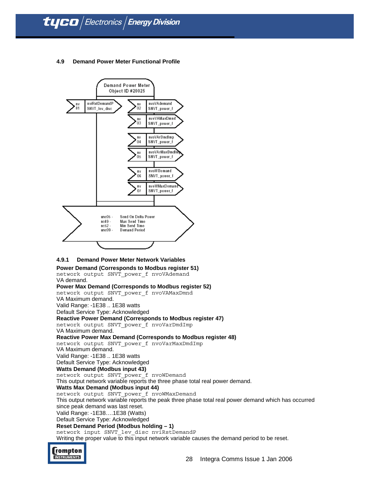## **4.9 Demand Power Meter Functional Profile**



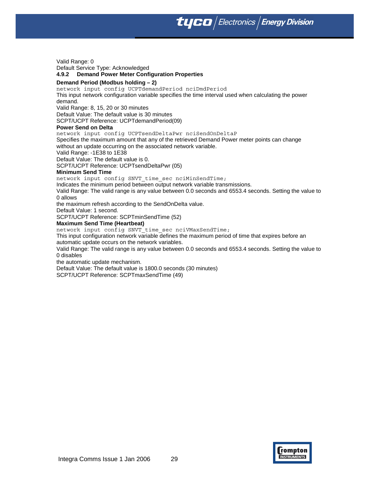**tyco** Electronics **Energy Division** 

Valid Range: 0

Default Service Type: Acknowledged

#### **4.9.2 Demand Power Meter Configuration Properties**

#### **Demand Period (Modbus holding – 2)**

network input config UCPTdemandPeriod nciDmdPeriod This input network configuration variable specifies the time interval used when calculating the power demand.

Valid Range: 8, 15, 20 or 30 minutes

Default Value: The default value is 30 minutes

SCPT/UCPT Reference: UCPTdemandPeriod(09)

#### **Power Send on Delta**

network input config UCPTsendDeltaPwr nciSendOnDeltaP

Specifies the maximum amount that any of the retrieved Demand Power meter points can change without an update occurring on the associated network variable.

Valid Range: -1E38 to 1E38

Default Value: The default value is 0.

SCPT/UCPT Reference: UCPTsendDeltaPwr (05)

## **Minimum Send Time**

network input config SNVT time sec nciMinSendTime;

Indicates the minimum period between output network variable transmissions.

Valid Range: The valid range is any value between 0.0 seconds and 6553.4 seconds. Setting the value to 0 allows

the maximum refresh according to the SendOnDelta value.

Default Value: 1 second.

SCPT/UCPT Reference: SCPTminSendTime (52)

#### **Maximum Send Time (Heartbeat)**

network input config SNVT time sec nciVMaxSendTime;

This input configuration network variable defines the maximum period of time that expires before an automatic update occurs on the network variables.

Valid Range: The valid range is any value between 0.0 seconds and 6553.4 seconds. Setting the value to 0 disables

the automatic update mechanism.

Default Value: The default value is 1800.0 seconds (30 minutes) SCPT/UCPT Reference: SCPTmaxSendTime (49)

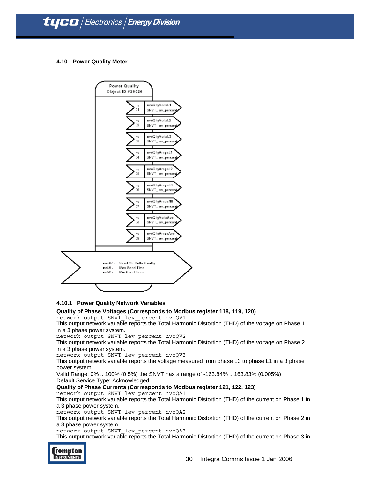#### **4.10 Power Quality Meter**



#### **4.10.1 Power Quality Network Variables**

## **Quality of Phase Voltages (Corresponds to Modbus register 118, 119, 120)**

network output SNVT\_lev\_percent nvoQV1

This output network variable reports the Total Harmonic Distortion (THD) of the voltage on Phase 1 in a 3 phase power system.

network output SNVT\_lev\_percent nvoQV2

This output network variable reports the Total Harmonic Distortion (THD) of the voltage on Phase 2 in a 3 phase power system.

network output SNVT\_lev\_percent nvoQV3

This output network variable reports the voltage measured from phase L3 to phase L1 in a 3 phase power system.

Valid Range: 0% .. 100% (0.5%) the SNVT has a range of -163.84% .. 163.83% (0.005%) Default Service Type: Acknowledged

## **Quality of Phase Currents (Corresponds to Modbus register 121, 122, 123)**

network output SNVT\_lev\_percent nvoQA1

This output network variable reports the Total Harmonic Distortion (THD) of the current on Phase 1 in a 3 phase power system.

network output SNVT\_lev\_percent nvoQA2

This output network variable reports the Total Harmonic Distortion (THD) of the current on Phase 2 in a 3 phase power system.

network output SNVT\_lev\_percent nvoQA3

This output network variable reports the Total Harmonic Distortion (THD) of the current on Phase 3 in